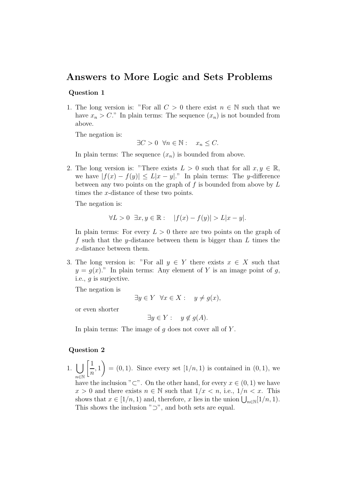## Answers to More Logic and Sets Problems

## Question 1

1. The long version is: "For all  $C > 0$  there exist  $n \in \mathbb{N}$  such that we have  $x_n > C$ ." In plain terms: The sequence  $(x_n)$  is not bounded from above.

The negation is:

$$
\exists C > 0 \ \forall n \in \mathbb{N}: \quad x_n \leq C.
$$

In plain terms: The sequence  $(x_n)$  is bounded from above.

2. The long version is: "There exists  $L > 0$  such that for all  $x, y \in \mathbb{R}$ , we have  $|f(x) - f(y)| \le L|x - y|$ ." In plain terms: The y-difference between any two points on the graph of  $f$  is bounded from above by  $L$ times the x-distance of these two points.

The negation is:

$$
\forall L > 0 \quad \exists x, y \in \mathbb{R} : \quad |f(x) - f(y)| > L|x - y|.
$$

In plain terms: For every  $L > 0$  there are two points on the graph of f such that the y-distance between them is bigger than  $L$  times the x-distance between them.

3. The long version is: "For all  $y \in Y$  there exists  $x \in X$  such that  $y = g(x)$ ." In plain terms: Any element of Y is an image point of g, i.e., g is surjective.

The negation is

$$
\exists y \in Y \ \forall x \in X : \ y \neq g(x),
$$

or even shorter

$$
\exists y \in Y: \quad y \notin g(A).
$$

In plain terms: The image of  $q$  does not cover all of  $Y$ .

## Question 2

 $1.$   $\vert \ \vert$ n∈N  $\lceil 1 \rceil$  $\overline{n}$ , 1  $\setminus$  $=(0, 1)$ . Since every set  $[1/n, 1)$  is contained in  $(0, 1)$ , we have the inclusion "⊂". On the other hand, for every  $x \in (0,1)$  we have  $x > 0$  and there exists  $n \in \mathbb{N}$  such that  $1/x < n$ , i.e.,  $1/n < x$ . This shows that  $x \in [1/n, 1)$  and, therefore, x lies in the union  $\bigcup_{n \in \mathbb{N}} [1/n, 1)$ . This shows the inclusion " $\supset$ ", and both sets are equal.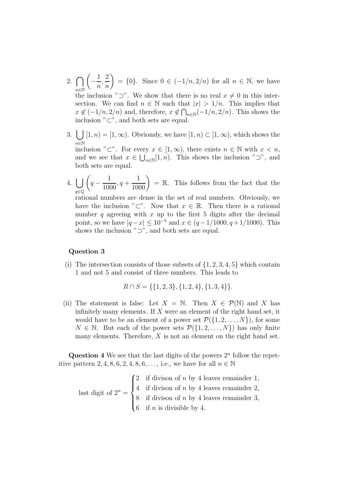- 2.  $\bigcap$ n∈N  $\sqrt{ }$ − 1 n , 2 n  $= \{0\}.$  Since  $0 \in (-1/n, 2/n)$  for all  $n \in \mathbb{N}$ , we have the inclusion " $\supset$ ". We show that there is no real  $x \neq 0$  in this intersection. We can find  $n \in \mathbb{N}$  such that  $|x| > 1/n$ . This implies that  $x \notin (-1/n, 2/n)$  and, therefore,  $x \notin \bigcap_{n \in \mathbb{N}} (-1/n, 2/n)$ . This shows the inclusion " $\subset$ ", and both sets are equal.
- 3.  $\bigcup [1, n) = [1, \infty)$ . Obviously, we have  $[1, n) \subset [1, \infty)$ , which shows the n∈N inclusion "⊂". For every  $x \in [1,\infty)$ , there exists  $n \in \mathbb{N}$  with  $x < n$ , and we see that  $x \in \bigcup_{n\in\mathbb{N}}[1,n)$ . This shows the inclusion " $\supset$ ", and both sets are equal.
- 4. [ q∈Q  $\sqrt{ }$  $q -$ 1 1000  $, q +$  $\left(\frac{1}{1000}\right)$  = R. This follows from the fact that the

rational numbers are dense in the set of real numbers. Obviously, we have the inclusion "⊂". Now that  $x \in \mathbb{R}$ . Then there is a rational number  $q$  agreeing with  $x$  up to the first 5 digits after the decimal point, so we have  $|q - x| \leq 10^{-5}$  and  $x \in (q - 1/1000, q + 1/1000)$ . This shows the inclusion " $\supset$ ", and both sets are equal.

## Question 3

(i) The intersection consists of those subsets of  $\{1, 2, 3, 4, 5\}$  which contain 1 and not 5 and consist of three numbers. This leads to

$$
R \cap S = \{ \{1, 2, 3\}, \{1, 2, 4\}, \{1, 3, 4\} \}.
$$

(ii) The statement is false: Let  $X = \mathbb{N}$ . Then  $X \in \mathcal{P}(\mathbb{N})$  and X has infinitely many elements. If  $X$  were an element of the right hand set, it would have to be an element of a power set  $\mathcal{P}(\{1,2,\ldots,N\})$ , for some  $N \in \mathbb{N}$ . But each of the power sets  $\mathcal{P}(\{1, 2, ..., N\})$  has only finite many elements. Therefore,  $X$  is not an element on the right hand set.

Question 4 We see that the last digits of the powers  $2<sup>n</sup>$  follow the repetitive pattern 2, 4, 8, 6, 2, 4, 8, 6, ..., i.e., we have for all  $n \in \mathbb{N}$ 

last digit of  $2^n =$  $\sqrt{ }$  $\int$  $\overline{\mathcal{L}}$ 2 if divison of  $n$  by 4 leaves remainder 1, 4 if divison of  $n$  by 4 leaves remainder 2, 8 if divison of  $n$  by 4 leaves remainder 3, 6 if *n* is divisible by 4.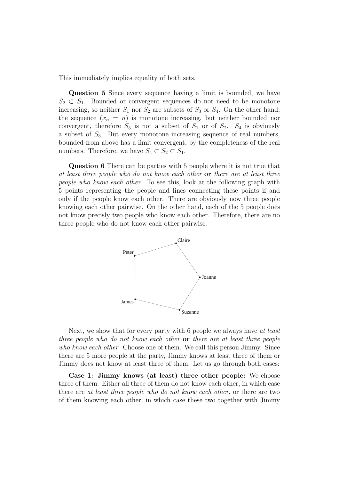This immediately implies equality of both sets.

Question 5 Since every sequence having a limit is bounded, we have  $S_2 \subset S_1$ . Bounded or convergent sequences do not need to be monotone increasing, so neither  $S_1$  nor  $S_2$  are subsets of  $S_3$  or  $S_4$ . On the other hand, the sequence  $(x_n = n)$  is monotone increasing, but neither bounded nor convergent, therefore  $S_3$  is not a subset of  $S_1$  or of  $S_2$ .  $S_4$  is obviously a subset of  $S_3$ . But every monotone increasing sequence of real numbers, bounded from above has a limit convergent, by the completeness of the real numbers. Therefore, we have  $S_4 \subset S_2 \subset S_1$ .

Question 6 There can be parties with 5 people where it is not true that at least three people who do not know each other or there are at least three people who know each other. To see this, look at the following graph with 5 points representing the people and lines connecting these points if and only if the people know each other. There are obviously now three people knowing each other pairwise. On the other hand, each of the 5 people does not know precisly two people who know each other. Therefore, there are no three people who do not know each other pairwise.



Next, we show that for every party with 6 people we always have at least three people who do not know each other or there are at least three people who know each other. Choose one of them. We call this person Jimmy. Since there are 5 more people at the party, Jimmy knows at least three of them or Jimmy does not know at least three of them. Let us go through both cases:

Case 1: Jimmy knows (at least) three other people: We choose three of them. Either all three of them do not know each other, in which case there are at least three people who do not know each other, or there are two of them knowing each other, in which case these two together with Jimmy